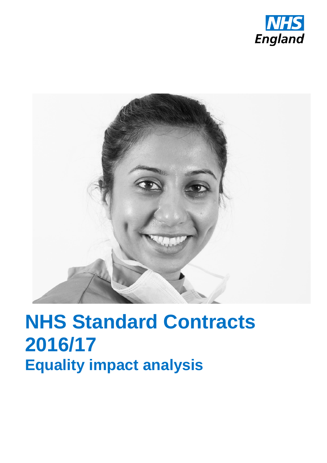



# **NHS Standard Contracts 2016/17 Equality impact analysis**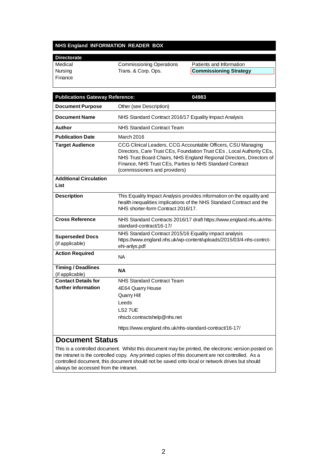#### **NHS England INFORMATION READER BOX**

# **Di**<br>Me

| Pilcoloialc |                                 |                               |
|-------------|---------------------------------|-------------------------------|
| Medical     | <b>Commissioning Operations</b> | Patients and Information      |
| Nursing     | Trans. & Corp. Ops.             | <b>Commissioning Strategy</b> |
| Finance     |                                 |                               |

| <b>Publications Gateway Reference:</b>       | 04983                                                                                                                                                                                                                                                                                                      |  |
|----------------------------------------------|------------------------------------------------------------------------------------------------------------------------------------------------------------------------------------------------------------------------------------------------------------------------------------------------------------|--|
| <b>Document Purpose</b>                      | Other (see Description)                                                                                                                                                                                                                                                                                    |  |
| <b>Document Name</b>                         | NHS Standard Contract 2016/17 Equality Impact Analysis                                                                                                                                                                                                                                                     |  |
| Author                                       | <b>NHS Standard Contract Team</b>                                                                                                                                                                                                                                                                          |  |
| <b>Publication Date</b>                      | March 2016                                                                                                                                                                                                                                                                                                 |  |
| <b>Target Audience</b>                       | CCG Clinical Leaders, CCG Accountable Officers, CSU Managing<br>Directors, Care Trust CEs, Foundation Trust CEs, Local Authority CEs,<br>NHS Trust Board Chairs, NHS England Regional Directors, Directors of<br>Finance, NHS Trust CEs, Parties to NHS Standard Contract<br>(commissioners and providers) |  |
| <b>Additional Circulation</b><br>List        |                                                                                                                                                                                                                                                                                                            |  |
| <b>Description</b>                           | This Equality Impact Analysis provides information on the equality and<br>health inequalities implications of the NHS Standard Contract and the<br>NHS shorter-form Contract 2016/17.                                                                                                                      |  |
| <b>Cross Reference</b>                       | NHS Standard Contracts 2016/17 draft https://www.england.nhs.uk/nhs-<br>standard-contract/16-17/                                                                                                                                                                                                           |  |
| <b>Superseded Docs</b><br>(if applicable)    | NHS Standard Contract 2015/16 Equality impact analysis<br>https://www.england.nhs.uk/wp-content/uploads/2015/03/4-nhs-contrct-<br>ehi-anlys.pdf                                                                                                                                                            |  |
| <b>Action Required</b>                       | <b>NA</b>                                                                                                                                                                                                                                                                                                  |  |
| <b>Timing / Deadlines</b><br>(if applicable) | NΑ                                                                                                                                                                                                                                                                                                         |  |
| <b>Contact Details for</b>                   | NHS Standard Contract Team                                                                                                                                                                                                                                                                                 |  |
| further information                          | 4E64 Quarry House                                                                                                                                                                                                                                                                                          |  |
|                                              | Quarry Hill<br>Leeds                                                                                                                                                                                                                                                                                       |  |
|                                              | LS27UE                                                                                                                                                                                                                                                                                                     |  |
|                                              | nhscb.contractshelp@nhs.net                                                                                                                                                                                                                                                                                |  |
|                                              | https://www.england.nhs.uk/nhs-standard-contract/16-17/                                                                                                                                                                                                                                                    |  |

## **Document Status**

This is a controlled document. Whilst this document may be printed, the electronic version posted on the intranet is the controlled copy. Any printed copies of this document are not controlled. As a controlled document, this document should not be saved onto local or network drives but should always be accessed from the intranet.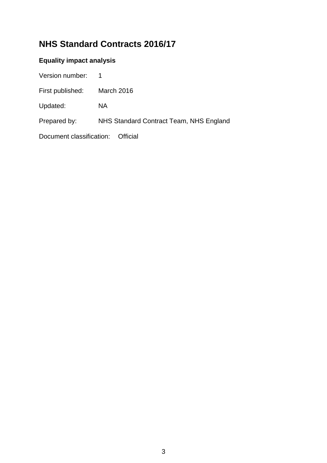# **NHS Standard Contracts 2016/17**

# **Equality impact analysis**

| Version number:          | $\mathbf 1$                             |
|--------------------------|-----------------------------------------|
| First published:         | March 2016                              |
| Updated:                 | NA.                                     |
| Prepared by:             | NHS Standard Contract Team, NHS England |
| Document classification: | Official                                |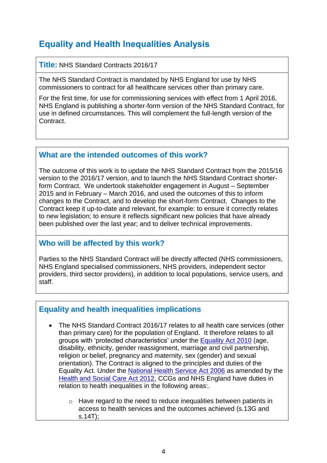# **Equality and Health Inequalities Analysis**

#### **Title:** NHS Standard Contracts 2016/17

The NHS Standard Contract is mandated by NHS England for use by NHS commissioners to contract for all healthcare services other than primary care.

For the first time, for use for commissioning services with effect from 1 April 2016, NHS England is publishing a shorter-form version of the NHS Standard Contract, for use in defined circumstances. This will complement the full-length version of the Contract.

## **What are the intended outcomes of this work?**

The outcome of this work is to update the NHS Standard Contract from the 2015/16 version to the 2016/17 version, and to launch the NHS Standard Contract shorterform Contract. We undertook stakeholder engagement in August – September 2015 and in February – March 2016, and used the outcomes of this to inform changes to the Contract, and to develop the short-form Contract. Changes to the Contract keep it up-to-date and relevant, for example: to ensure it correctly relates to new legislation; to ensure it reflects significant new policies that have already been published over the last year; and to deliver technical improvements.

# **Who will be affected by this work?**

Parties to the NHS Standard Contract will be directly affected (NHS commissioners, NHS England specialised commissioners, NHS providers, independent sector providers, third sector providers), in addition to local populations, service users, and staff.

# **Equality and health inequalities implications**

- The NHS Standard Contract 2016/17 relates to all health care services (other than primary care) for the population of England. It therefore relates to all groups with 'protected characteristics' under the [Equality Act 2010](http://www.legislation.gov.uk/ukpga/2010/15/contents) (age, disability, ethnicity, gender reassignment, marriage and civil partnership, religion or belief, pregnancy and maternity, sex (gender) and sexual orientation). The Contract is aligned to the principles and duties of the Equality Act. Under the [National Health Service Act 2006](http://www.legislation.gov.uk/ukpga/2006/41/contents) as amended by the [Health and Social Care Act 2012,](http://www.legislation.gov.uk/ukpga/2012/7/contents/enacted) CCGs and NHS England have duties in relation to health inequalities in the following areas:.
	- o Have regard to the need to reduce inequalities between patients in access to health services and the outcomes achieved (s.13G and s.14T);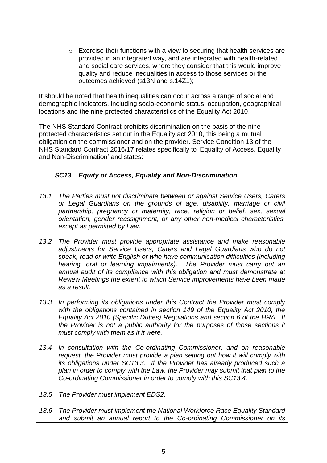o Exercise their functions with a view to securing that health services are provided in an integrated way, and are integrated with health-related and social care services, where they consider that this would improve quality and reduce inequalities in access to those services or the outcomes achieved (s13N and s.14Z1);

It should be noted that health inequalities can occur across a range of social and demographic indicators, including socio-economic status, occupation, geographical locations and the nine protected characteristics of the Equality Act 2010.

The NHS Standard Contract prohibits discrimination on the basis of the nine protected characteristics set out in the Equality act 2010, this being a mutual obligation on the commissioner and on the provider. Service Condition 13 of the NHS Standard Contract 2016/17 relates specifically to 'Equality of Access, Equality and Non-Discrimination' and states:

#### *SC13 Equity of Access, Equality and Non-Discrimination*

- *13.1 The Parties must not discriminate between or against Service Users, Carers or Legal Guardians on the grounds of age, disability, marriage or civil partnership, pregnancy or maternity, race, religion or belief, sex, sexual orientation, gender reassignment, or any other non-medical characteristics, except as permitted by Law.*
- *13.2 The Provider must provide appropriate assistance and make reasonable adjustments for Service Users, Carers and Legal Guardians who do not speak, read or write English or who have communication difficulties (including hearing, oral or learning impairments). The Provider must carry out an annual audit of its compliance with this obligation and must demonstrate at Review Meetings the extent to which Service improvements have been made as a result.*
- *13.3 In performing its obligations under this Contract the Provider must comply*  with the obligations contained in section 149 of the Equality Act 2010, the *Equality Act 2010 (Specific Duties) Regulations and section 6 of the HRA. If the Provider is not a public authority for the purposes of those sections it must comply with them as if it were.*
- *13.4 In consultation with the Co-ordinating Commissioner, and on reasonable request, the Provider must provide a plan setting out how it will comply with its obligations under SC13.3. If the Provider has already produced such a plan in order to comply with the Law, the Provider may submit that plan to the Co-ordinating Commissioner in order to comply with this SC13.4.*
- *13.5 The Provider must implement EDS2.*
- *13.6 The Provider must implement the National Workforce Race Equality Standard and submit an annual report to the Co-ordinating Commissioner on its*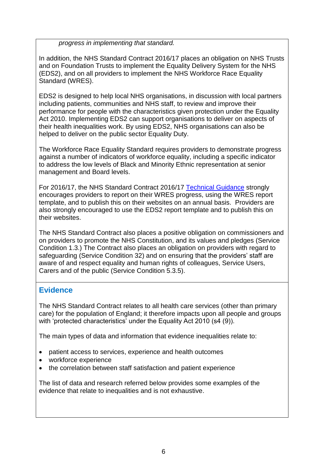*progress in implementing that standard.* 

In addition, the NHS Standard Contract 2016/17 places an obligation on NHS Trusts and on Foundation Trusts to implement the Equality Delivery System for the NHS (EDS2), and on all providers to implement the NHS Workforce Race Equality Standard (WRES).

EDS2 is designed to help local NHS organisations, in discussion with local partners including patients, communities and NHS staff, to review and improve their performance for people with the characteristics given protection under the Equality Act 2010. Implementing EDS2 can support organisations to deliver on aspects of their health inequalities work. By using EDS2, NHS organisations can also be helped to deliver on the public sector Equality Duty.

The Workforce Race Equality Standard requires providers to demonstrate progress against a number of indicators of workforce equality, including a specific indicator to address the low levels of Black and Minority Ethnic representation at senior management and Board levels.

For 2016/17, the NHS Standard Contract 2016/17 [Technical Guidance](https://www.england.nhs.uk/nhs-standard-contract/16-17/) strongly encourages providers to report on their WRES progress, using the [WRES report](https://www.england.nhs.uk/about/gov/equality-hub/equality-standard/)  [template,](https://www.england.nhs.uk/about/gov/equality-hub/equality-standard/) and to publish this on their websites on an annual basis. Providers are also strongly encouraged to use the [EDS2 report template](hhttps://www.england.nhs.uk/wp-content/uploads/2015/04/eds2-summ-rep-temp-mar15.pdf) and to publish this on their websites.

The NHS Standard Contract also places a positive obligation on commissioners and on providers to promote the NHS Constitution, and its values and pledges (Service Condition 1.3.) The Contract also places an obligation on providers with regard to safeguarding (Service Condition 32) and on ensuring that the providers' staff are aware of and respect equality and human rights of colleagues, Service Users, Carers and of the public (Service Condition 5.3.5).

# **Evidence**

The NHS Standard Contract relates to all health care services (other than primary care) for the population of England; it therefore impacts upon all people and groups with 'protected characteristics' under the Equality Act 2010 (s4 (9)).

The main types of data and information that evidence inequalities relate to:

- patient access to services, experience and health outcomes
- workforce experience
- the correlation between staff satisfaction and patient experience

The list of data and research referred below provides some examples of the evidence that relate to inequalities and is not exhaustive.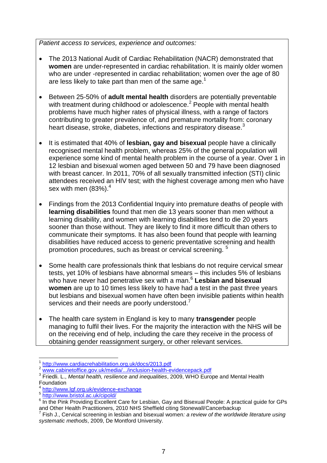*Patient access to services, experience and outcomes:*

- The 2013 National Audit of Cardiac Rehabilitation (NACR) demonstrated that **women** are under-represented in cardiac rehabilitation. It is mainly older women who are under -represented in cardiac rehabilitation; women over the age of 80 are less likely to take part than men of the same age.<sup>1</sup>
- Between 25-50% of **adult mental health** disorders are potentially preventable with treatment during childhood or adolescence.<sup>2</sup> People with mental health problems have much higher rates of physical illness, with a range of factors contributing to greater prevalence of, and premature mortality from: coronary heart disease, stroke, diabetes, infections and respiratory disease.<sup>3</sup>
- It is estimated that 40% of **lesbian, gay and bisexual** people have a clinically recognised mental health problem, whereas 25% of the general population will experience some kind of mental health problem in the course of a year. Over 1 in 12 lesbian and bisexual women aged between 50 and 79 have been diagnosed with breast cancer. In 2011, 70% of all sexually transmitted infection (STI) clinic attendees received an HIV test; with the highest coverage among men who have sex with men  $(83%)$ .<sup>4</sup>
- Findings from the 2013 Confidential Inquiry into premature deaths of people with **learning disabilities** found that men die 13 years sooner than men without a learning disability, and women with learning disabilities tend to die 20 years sooner than those without. They are likely to find it more difficult than others to communicate their symptoms. It has also been found that people with learning disabilities have reduced access to generic preventative screening and health promotion procedures, such as breast or cervical screening. <sup>5</sup>
- Some health care professionals think that lesbians do not require cervical smear tests, yet 10% of lesbians have abnormal smears – this includes 5% of lesbians who have never had penetrative sex with a man.<sup>6</sup> Lesbian and bisexual **women** are up to 10 times less likely to have had a test in the past three years but lesbians and bisexual women have often been invisible patients within health services and their needs are poorly understood.<sup>7</sup>
- The health care system in England is key to many **transgender** people managing to fulfil their lives. For the majority the interaction with the NHS will be on the receiving end of help, including the care they receive in the process of obtaining gender reassignment surgery, or other relevant services.

l

<sup>1</sup> <http://www.cardiacrehabilitation.org.uk/docs/2013.pdf>

<sup>2</sup> [www.cabinetoffice.gov.uk/media/.../inclusion-health-evidencepack.pdf](http://www.cabinetoffice.gov.uk/media/.../inclusion-health-evidencepack.pdf)

<sup>&</sup>lt;sup>3</sup> Friedli. L., *Mental health, resilience and inequalities*, 2009, WHO Europe and Mental Health **Foundation** 

<sup>4</sup> <http://www.lgf.org.uk/evidence-exchange>

<sup>5</sup> <http://www.bristol.ac.uk/cipold/>

<sup>&</sup>lt;sup>6</sup> In the Pink Providing Excellent Care for Lesbian, Gay and Bisexual People: A practical guide for GPs and Other Health Practitioners, 2010 NHS Sheffield citing Stonewall/Cancerbackup

<sup>7</sup> Fish J., Cervical screening in lesbian and bisexual women*: a review of the worldwide literature using systematic methods*, 2009, De Montford University.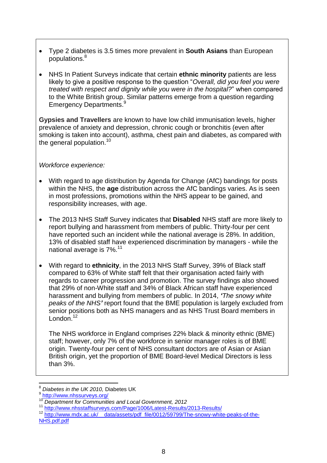- Type 2 diabetes is 3.5 times more prevalent in **South Asians** than European populations. 8
- NHS In Patient Surveys indicate that certain **ethnic minority** patients are less likely to give a positive response to the question "*Overall, did you feel you were treated with respect and dignity while you were in the hospital?*" when compared to the White British group. Similar patterns emerge from a question regarding Emergency Departments. 9

**Gypsies and Travellers** are known to have low child immunisation levels, higher prevalence of anxiety and depression, chronic cough or bronchitis (even after smoking is taken into account), asthma, chest pain and diabetes, as compared with the general population.<sup>10</sup>

#### *Workforce experience:*

- With regard to age distribution by Agenda for Change (AfC) bandings for posts within the NHS, the **age** distribution across the AfC bandings varies. As is seen in most professions, promotions within the NHS appear to be gained, and responsibility increases, with age.
- The 2013 NHS Staff Survey indicates that **Disabled** NHS staff are more likely to report bullying and harassment from members of public. Thirty-four per cent have reported such an incident while the national average is 28%. In addition, 13% of disabled staff have experienced discrimination by managers - while the national average is  $7\%$ <sup>11</sup>
- With regard to **ethnicity**, in the 2013 NHS Staff Survey, 39% of Black staff compared to 63% of White staff felt that their organisation acted fairly with regards to career progression and promotion. The survey findings also showed that 29% of non-White staff and 34% of Black African staff have experienced harassment and bullying from members of public. In 2014, *'The snowy white peaks of the NHS'* report found that the BME population is largely excluded from senior positions both as NHS managers and as NHS Trust Board members in London.<sup>12</sup>

The NHS workforce in England comprises 22% black & minority ethnic (BME) staff; however, only 7% of the workforce in senior manager roles is of BME origin. Twenty-four per cent of NHS consultant doctors are of Asian or Asian British origin, yet the proportion of BME Board-level Medical Directors is less than 3%.

 $\overline{\phantom{a}}$ <sup>8</sup> *Diabetes in the UK 2010,* Diabetes UK

<sup>&</sup>lt;sup>9</sup> <http://www.nhssurveys.org/>

<sup>10</sup> *Department for Communities and Local Government, 2012*

<sup>&</sup>lt;sup>11</sup> <http://www.nhsstaffsurveys.com/Page/1006/Latest-Results/2013-Results/>

<sup>12</sup> http://www.mdx.ac.uk/ data/assets/pdf\_file/0012/59799/The-snowy-white-peaks-of-the-[NHS.pdf.pdf](http://www.mdx.ac.uk/__data/assets/pdf_file/0012/59799/The-snowy-white-peaks-of-the-NHS.pdf.pdf)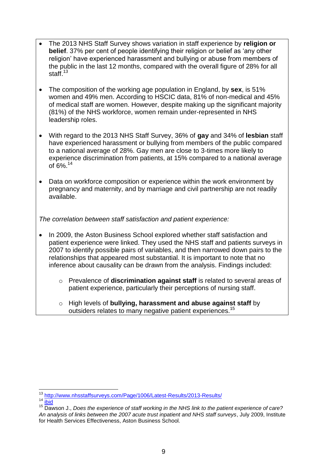- The 2013 NHS Staff Survey shows variation in staff experience by **religion or belief**. 37% per cent of people identifying their religion or belief as 'any other religion' have experienced harassment and bullying or abuse from members of the public in the last 12 months, compared with the overall figure of 28% for all staff.<sup>13</sup>
- The composition of the working age population in England, by **sex**, is 51% women and 49% men. According to HSCIC data, 81% of non-medical and 45% of medical staff are women. However, despite making up the significant majority (81%) of the NHS workforce, women remain under-represented in NHS leadership roles.
- With regard to the 2013 NHS Staff Survey, 36% of **gay** and 34% of **lesbian** staff have experienced harassment or bullying from members of the public compared to a national average of 28%. Gay men are close to 3-times more likely to experience discrimination from patients, at 15% compared to a national average of 6%.<sup>14</sup>
- Data on workforce composition or experience within the work environment by pregnancy and maternity, and by marriage and civil partnership are not readily available.

*The correlation between staff satisfaction and patient experience:*

- In 2009, the Aston Business School explored whether staff satisfaction and patient experience were linked. They used the NHS staff and patients surveys in 2007 to identify possible pairs of variables, and then narrowed down pairs to the relationships that appeared most substantial. It is important to note that no inference about causality can be drawn from the analysis. Findings included:
	- o Prevalence of **discrimination against staff** is related to several areas of patient experience, particularly their perceptions of nursing staff.
	- o High levels of **bullying, harassment and abuse against staff** by outsiders relates to many negative patient experiences.<sup>15</sup>

 $14 \overline{\text{ibid}}$  $14 \overline{\text{ibid}}$  $14 \overline{\text{ibid}}$ 

l <sup>13</sup> <http://www.nhsstaffsurveys.com/Page/1006/Latest-Results/2013-Results/>

<sup>15</sup> Dawson J., *Does the experience of staff working in the NHS link to the patient experience of care? An analysis of links between the 2007 acute trust inpatient and NHS staff surveys*, July 2009, Institute for Health Services Effectiveness, Aston Business School.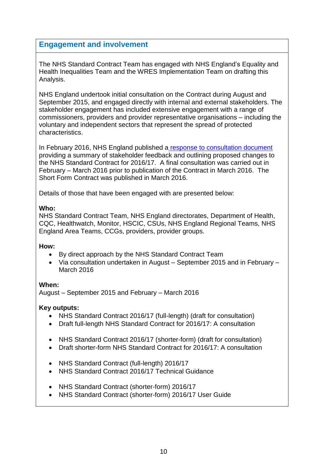## **Engagement and involvement**

The NHS Standard Contract Team has engaged with NHS England's Equality and Health Inequalities Team and the WRES Implementation Team on drafting this Analysis.

NHS England undertook initial [consultation](http://www.england.nhs.uk/wp-content/uploads/2014/08/sc-dis-pap.pdf) on the Contract during August and September 2015, and engaged directly with internal and external stakeholders. The stakeholder engagement has included extensive engagement with a range of commissioners, providers and provider representative organisations – including the voluntary and independent sectors that represent the spread of protected characteristics.

In February 2016, NHS England published a [response to consultation document](http://www.england.nhs.uk/nhs-standard-contract/16-17/) providing a summary of stakeholder feedback and outlining proposed changes to the NHS Standard Contract for 2016/17. A final consultation was carried out in February – March 2016 prior to publication of the Contract in March 2016. The Short Form Contract was published in March 2016.

Details of those that have been engaged with are presented below:

#### **Who:**

NHS Standard Contract Team, NHS England directorates, Department of Health, CQC, Healthwatch, Monitor, HSCIC, CSUs, NHS England Regional Teams, NHS England Area Teams, CCGs, providers, provider groups.

#### **How:**

- By direct approach by the NHS Standard Contract Team
- Via consultation undertaken in August September 2015 and in February March 2016

#### **When:**

August – September 2015 and February – March 2016

#### **Key outputs:**

- NHS Standard Contract 2016/17 (full-length) (draft for consultation)
- Draft full-length NHS Standard Contract for 2016/17: A consultation
- NHS Standard Contract 2016/17 (shorter-form) (draft for consultation)
- Draft shorter-form NHS Standard Contract for 2016/17: A consultation
- NHS Standard Contract (full-length) 2016/17
- NHS Standard Contract 2016/17 Technical Guidance
- NHS Standard Contract (shorter-form) 2016/17
- NHS Standard Contract (shorter-form) 2016/17 User Guide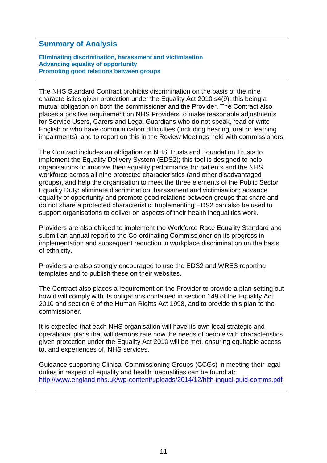#### **Summary of Analysis**

**Eliminating discrimination, harassment and victimisation Advancing equality of opportunity Promoting good relations between groups** 

The NHS Standard Contract prohibits discrimination on the basis of the nine characteristics given protection under the Equality Act 2010 s4(9); this being a mutual obligation on both the commissioner and the Provider. The Contract also places a positive requirement on NHS Providers to make reasonable adjustments for Service Users, Carers and Legal Guardians who do not speak, read or write English or who have communication difficulties (including hearing, oral or learning impairments), and to report on this in the Review Meetings held with commissioners.

The Contract includes an obligation on NHS Trusts and Foundation Trusts to implement the Equality Delivery System (EDS2); this tool is designed to help organisations to improve their equality performance for patients and the NHS workforce across all nine protected characteristics (and other disadvantaged groups), and help the organisation to meet the three elements of the Public Sector Equality Duty: eliminate discrimination, harassment and victimisation; advance equality of opportunity and promote good relations between groups that share and do not share a protected characteristic. Implementing EDS2 can also be used to support organisations to deliver on aspects of their health inequalities work.

Providers are also obliged to implement the Workforce Race Equality Standard and submit an annual report to the Co-ordinating Commissioner on its progress in implementation and subsequent reduction in workplace discrimination on the basis of ethnicity.

Providers are also strongly encouraged to use the EDS2 and WRES reporting templates and to publish these on their websites.

The Contract also places a requirement on the Provider to provide a plan setting out how it will comply with its obligations contained in section 149 of the Equality Act 2010 and section 6 of the Human Rights Act 1998, and to provide this plan to the commissioner.

It is expected that each NHS organisation will have its own local strategic and operational plans that will demonstrate how the needs of people with characteristics given protection under the Equality Act 2010 will be met, ensuring equitable access to, and experiences of, NHS services.

Guidance supporting Clinical Commissioning Groups (CCGs) in meeting their legal duties in respect of equality and health inequalities can be found at: <http://www.england.nhs.uk/wp-content/uploads/2014/12/hlth-inqual-guid-comms.pdf>